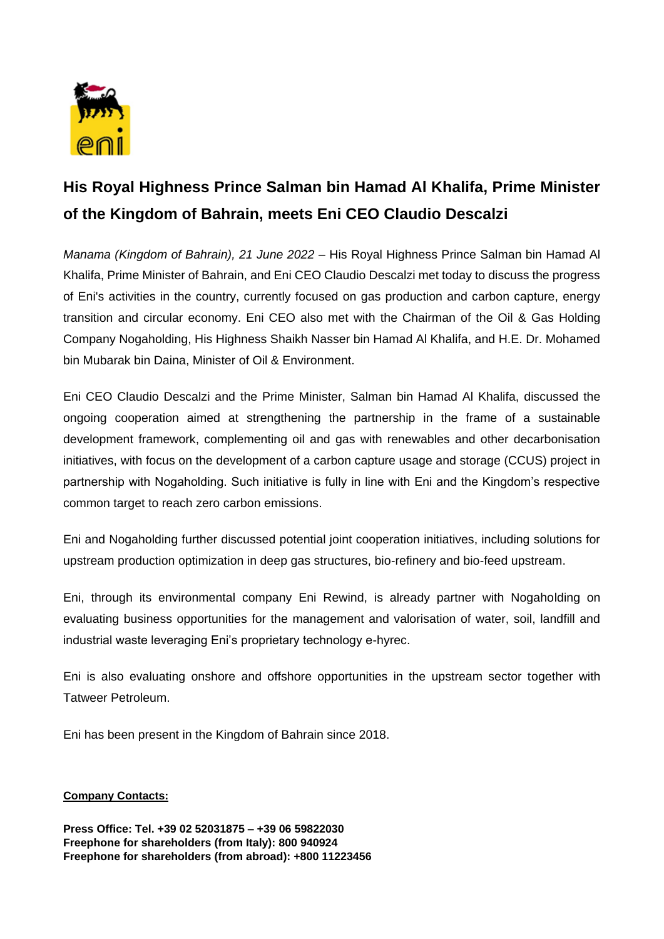

## **His Royal Highness Prince Salman bin Hamad Al Khalifa, Prime Minister of the Kingdom of Bahrain, meets Eni CEO Claudio Descalzi**

*Manama (Kingdom of Bahrain), 21 June 2022* – His Royal Highness Prince Salman bin Hamad Al Khalifa, Prime Minister of Bahrain, and Eni CEO Claudio Descalzi met today to discuss the progress of Eni's activities in the country, currently focused on gas production and carbon capture, energy transition and circular economy. Eni CEO also met with the Chairman of the Oil & Gas Holding Company Nogaholding, His Highness Shaikh Nasser bin Hamad Al Khalifa, and H.E. Dr. Mohamed bin Mubarak bin Daina, Minister of Oil & Environment.

Eni CEO Claudio Descalzi and the Prime Minister, Salman bin Hamad Al Khalifa, discussed the ongoing cooperation aimed at strengthening the partnership in the frame of a sustainable development framework, complementing oil and gas with renewables and other decarbonisation initiatives, with focus on the development of a carbon capture usage and storage (CCUS) project in partnership with Nogaholding. Such initiative is fully in line with Eni and the Kingdom's respective common target to reach zero carbon emissions.

Eni and Nogaholding further discussed potential joint cooperation initiatives, including solutions for upstream production optimization in deep gas structures, bio-refinery and bio-feed upstream.

Eni, through its environmental company Eni Rewind, is already partner with Nogaholding on evaluating business opportunities for the management and valorisation of water, soil, landfill and industrial waste leveraging Eni's proprietary technology e-hyrec.

Eni is also evaluating onshore and offshore opportunities in the upstream sector together with Tatweer Petroleum.

Eni has been present in the Kingdom of Bahrain since 2018.

## **Company Contacts:**

**Press Office: Tel. +39 02 52031875 – +39 06 59822030 Freephone for shareholders (from Italy): 800 940924 Freephone for shareholders (from abroad): +800 11223456**